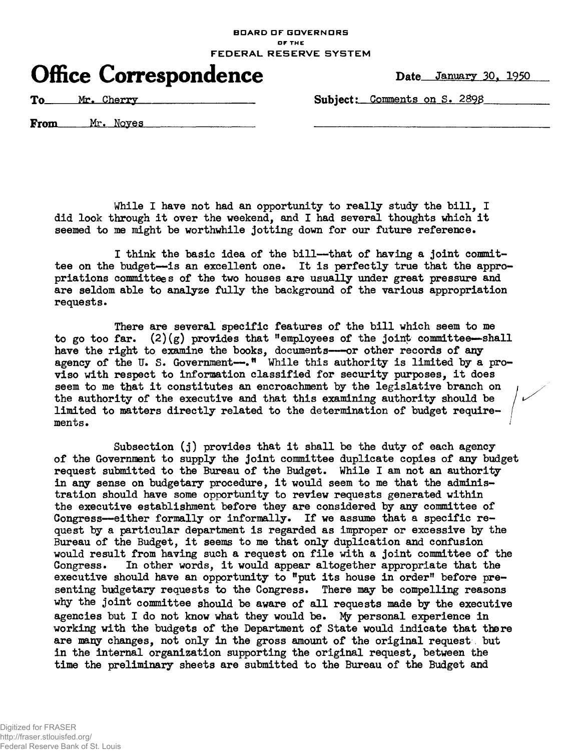## **BOARD OF GOVERNORS** or **THE**  FEDERAL RESERVE SYSTEM

## Office Correspondence Date January 30, 1950

**To Mr. Cherry Mr. Cherry Comments on S. 2898** 

**From** Mr. Noves

While I have not had an opportunity to really study the bill, I did look through it over the weekend, and I had several thoughts which it **seemed to me might be worthwhile jotting down for our future reference.** 

I think the basic idea of the bill--that of having a joint committee on the budget--is an excellent one. It is perfectly true that the appro**priations committees of the two houses are usually under great pressure and**  are seldom able to analyze fully the background of the various appropriation **requests.** 

There are several specific features of the bill which seem to me **to go too far. (2)(g) provides that "employees of the joint committee—shall**  have the right to examine the books, documents—or other records of any **agency of the U. S. Government—.<sup>n</sup> While this authority is limited by a pro**viso with respect to information classified for security purposes, it does seem to me that it constitutes an encroachment by the legislative branch on **the authority of the executive and that this examining authority should be limited to matters directly related to the determination of budget requirements.** 

**Subsection (j ) provides that i t shall be the duty of each agency of the Government to supply the joint committee duplicate copies of any budget request submitted to the Bureau of the Budget. While I am not an authority**  in any sense on budgetary procedure, it would seem to me that the adminis**tration should have some opportunity to review requests generated within the executive establishment before they are considered by any committee of**  Congress—either formally or informally. If we assume that a specific re**quest by a particular department is regarded as improper or excessive by the**  Bureau of the Budget, it seems to me that only duplication and confusion **would result from having such a request on fil e with a joint committee of the Congress. In other words, i t would appear altogether appropriate that the**  executive should have an opportunity to "put its house in order" before pre**senting budgetary requests to the Congress. There may be compelling reasons**  why the joint committee should be aware of all requests made by the executive agencies but I do not know what they would be. My personal experience in **working with the budgets of the Department of State would indicate that there are many changes, not only in the gross amount of the original request but i n the internal organization supporting the original request, between the time the preliminary sheets are submitted to the Bureau of the Budget and**